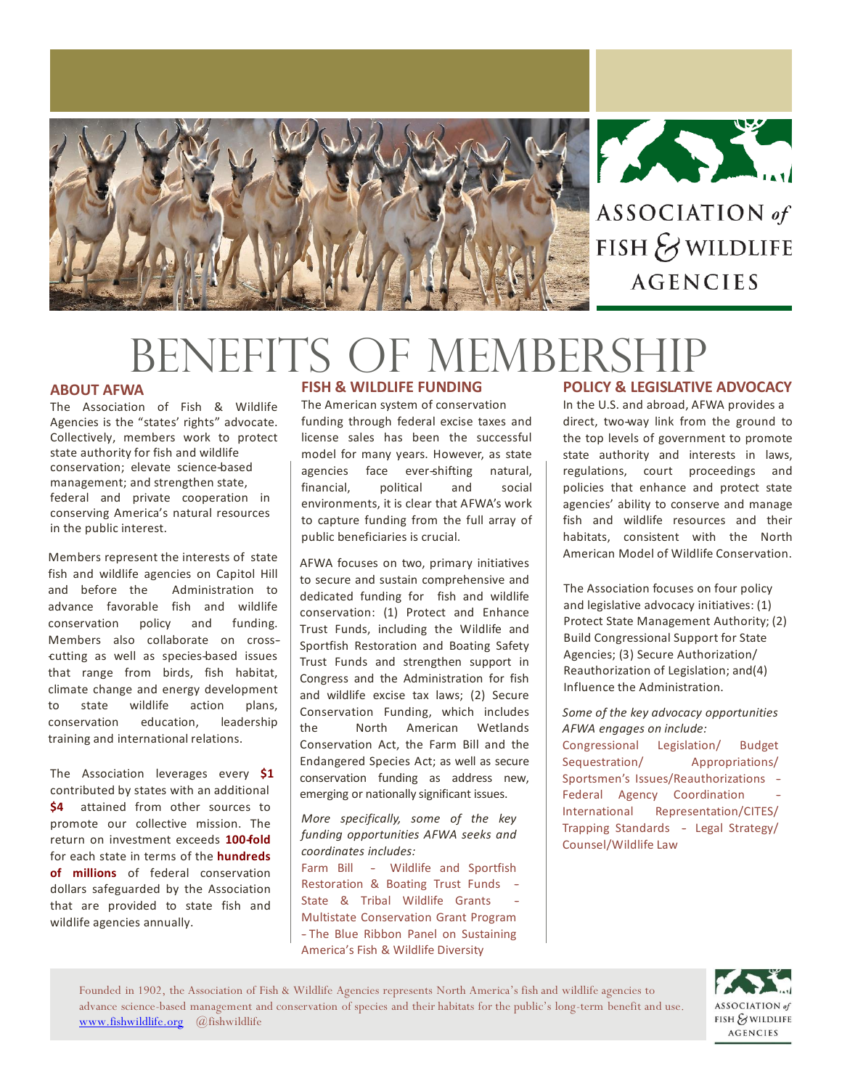



ASSOCIATION of FISH & WILDLIFE **AGENCIES** 

# BENEFITS OF MEMBERS

#### **ABOUT AFWA**

The Association of Fish & Wildlife Agencies is the "states' rights" advocate. Collectively, members work to protect state authority for fish and wildlife conservation; elevate science-based management; and strengthen state, federal and private cooperation in conserving America's natural resources in the public interest.

Members represent the interests of state fish and wildlife agencies on Capitol Hill and before the Administration to advance favorable fish and wildlife conservation policy and funding. Members also collaborate on cross cutting as well as species-based issues that range from birds, fish habitat, climate change and energy development to state wildlife action plans, conservation education, leadership training and international relations.

The Association leverages every **\$1** contributed by states with an additional **\$4** attained from other sources to promote our collective mission. The return on investment exceeds **100-‐fold** for each state in terms of the **hundreds of millions** of federal conservation dollars safeguarded by the Association that are provided to state fish and wildlife agencies annually.

# **FISH & WILDLIFE FUNDING**

The American system of conservation funding through federal excise taxes and license sales has been the successful model for many years. However, as state agencies face ever-shifting natural, financial, political and social environments, it is clear that AFWA's work to capture funding from the full array of public beneficiaries is crucial.

AFWA focuses on two, primary initiatives to secure and sustain comprehensive and dedicated funding for fish and wildlife conservation: (1) Protect and Enhance Trust Funds, including the Wildlife and Sportfish Restoration and Boating Safety Trust Funds and strengthen support in Congress and the Administration for fish and wildlife excise tax laws; (2) Secure Conservation Funding, which includes the North American Wetlands Conservation Act, the Farm Bill and the Endangered Species Act; as well as secure conservation funding as address new, emerging or nationally significant issues.

*More specifically, some of the key funding opportunities AFWA seeks and coordinates includes:* Farm Bill - Wildlife and Sportfish

Restoration & Boating Trust Funds -‐ State & Tribal Wildlife Grants Multistate Conservation Grant Program -‐ The Blue Ribbon Panel on Sustaining America's Fish & Wildlife Diversity

# **POLICY & LEGISLATIVE ADVOCACY**

In the U.S. and abroad, AFWA provides a direct, two-way link from the ground to the top levels of government to promote state authority and interests in laws, regulations, court proceedings and policies that enhance and protect state agencies' ability to conserve and manage fish and wildlife resources and their habitats, consistent with the North American Model of Wildlife Conservation.

The Association focuses on four policy and legislative advocacy initiatives: (1) Protect State Management Authority; (2) Build Congressional Support for State Agencies; (3) Secure Authorization/ Reauthorization of Legislation; and(4) Influence the Administration.

*Some of the key advocacy opportunities AFWA engages on include:* Congressional Legislation/ Budget Sequestration/ Appropriations/ Sportsmen's Issues/Reauthorizations -‐ Federal Agency Coordination International Representation/CITES/ Trapping Standards -‐ Legal Strategy/ Counsel/Wildlife Law

> ASSOCIATION of FISH & WILDLIFE **AGENCIES**

Founded in 1902, the Association of Fish & Wildlife Agencies represents North America's fish and wildlife agencies to advance science-based management and conservation of species and their habitats for the public's long-term benefit and use. [www.fishwildlife.org](http://www.fishwildlife.org/) @fishwildlife